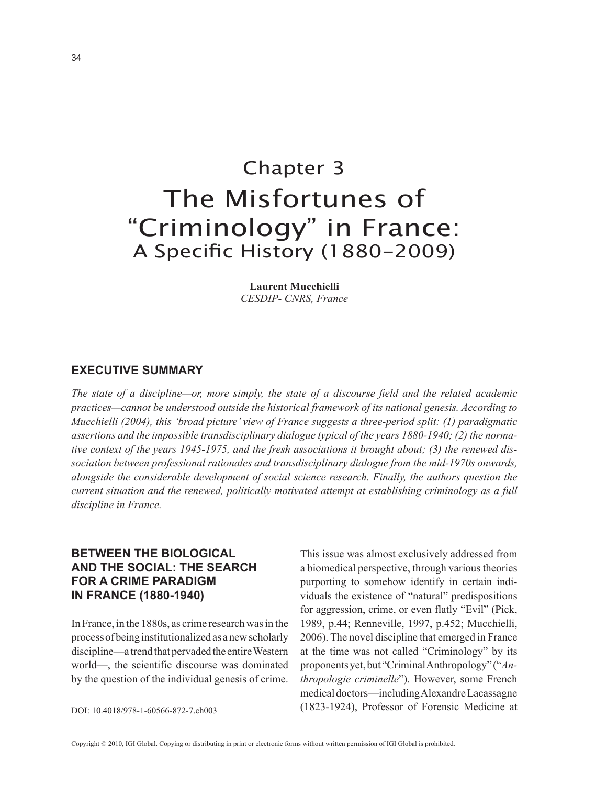# Chapter 3 The Misfortunes of "Criminology" in France: A Specific History (1880-2009)

**Laurent Mucchielli** *CESDIP- CNRS, France*

## **eXecutive Summary**

*The state of a discipline—or, more simply, the state of a discourse field and the related academic practices—cannot be understood outside the historical framework of its national genesis. According to Mucchielli (2004), this 'broad picture' view of France suggests a three-period split: (1) paradigmatic assertions and the impossible transdisciplinary dialogue typical of the years 1880-1940; (2) the normative context of the years 1945-1975, and the fresh associations it brought about; (3) the renewed dissociation between professional rationales and transdisciplinary dialogue from the mid-1970s onwards, alongside the considerable development of social science research. Finally, the authors question the current situation and the renewed, politically motivated attempt at establishing criminology as a full discipline in France.*

# **between the biological and the Social: the Search for a crime paradigm in france (1880-1940)**

In France, in the 1880s, as crime research was in the process of being institutionalized as a new scholarly discipline—a trend that pervaded the entire Western world—, the scientific discourse was dominated by the question of the individual genesis of crime.

This issue was almost exclusively addressed from a biomedical perspective, through various theories purporting to somehow identify in certain individuals the existence of "natural" predispositions for aggression, crime, or even flatly "Evil" (Pick, 1989, p.44; Renneville, 1997, p.452; Mucchielli, 2006). The novel discipline that emerged in France at the time was not called "Criminology" by its proponents yet, but "Criminal Anthropology" ("*Anthropologie criminelle*"). However, some French medical doctors—including Alexandre Lacassagne (1823-1924), Professor of Forensic Medicine at

DOI: 10.4018/978-1-60566-872-7.ch003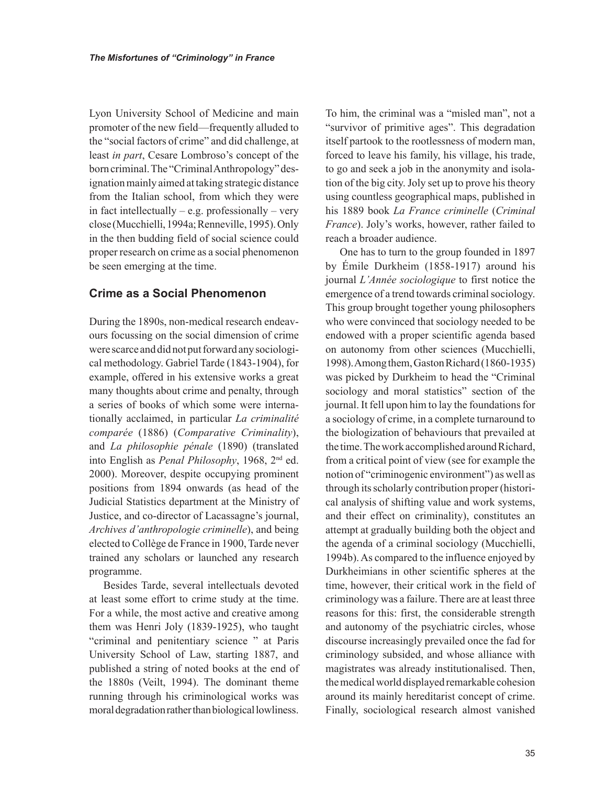Lyon University School of Medicine and main promoter of the new field—frequently alluded to the "social factors of crime" and did challenge, at least *in part*, Cesare Lombroso's concept of the born criminal. The "Criminal Anthropology" designation mainly aimed at taking strategic distance from the Italian school, from which they were in fact intellectually – e.g. professionally – very close (Mucchielli, 1994a; Renneville, 1995). Only in the then budding field of social science could proper research on crime as a social phenomenon be seen emerging at the time.

# **crime as a Social phenomenon**

During the 1890s, non-medical research endeavours focussing on the social dimension of crime were scarce and did not put forward any sociological methodology. Gabriel Tarde (1843-1904), for example, offered in his extensive works a great many thoughts about crime and penalty, through a series of books of which some were internationally acclaimed, in particular *La criminalité comparée* (1886) (*Comparative Criminality*), and *La philosophie pénale* (1890) (translated into English as *Penal Philosophy*, 1968, 2nd ed. 2000). Moreover, despite occupying prominent positions from 1894 onwards (as head of the Judicial Statistics department at the Ministry of Justice, and co-director of Lacassagne's journal, *Archives d'anthropologie criminelle*), and being elected to Collège de France in 1900, Tarde never trained any scholars or launched any research programme.

Besides Tarde, several intellectuals devoted at least some effort to crime study at the time. For a while, the most active and creative among them was Henri Joly (1839-1925), who taught "criminal and penitentiary science " at Paris University School of Law, starting 1887, and published a string of noted books at the end of the 1880s (Veilt, 1994). The dominant theme running through his criminological works was moral degradation rather than biological lowliness.

To him, the criminal was a "misled man", not a "survivor of primitive ages". This degradation itself partook to the rootlessness of modern man, forced to leave his family, his village, his trade, to go and seek a job in the anonymity and isolation of the big city. Joly set up to prove his theory using countless geographical maps, published in his 1889 book *La France criminelle* (*Criminal France*). Joly's works, however, rather failed to reach a broader audience.

One has to turn to the group founded in 1897 by Émile Durkheim (1858-1917) around his journal *L'Année sociologique* to first notice the emergence of a trend towards criminal sociology. This group brought together young philosophers who were convinced that sociology needed to be endowed with a proper scientific agenda based on autonomy from other sciences (Mucchielli, 1998). Among them, Gaston Richard (1860-1935) was picked by Durkheim to head the "Criminal sociology and moral statistics" section of the journal. It fell upon him to lay the foundations for a sociology of crime, in a complete turnaround to the biologization of behaviours that prevailed at the time. The work accomplished around Richard, from a critical point of view (see for example the notion of "criminogenic environment") as well as through its scholarly contribution proper (historical analysis of shifting value and work systems, and their effect on criminality), constitutes an attempt at gradually building both the object and the agenda of a criminal sociology (Mucchielli, 1994b). As compared to the influence enjoyed by Durkheimians in other scientific spheres at the time, however, their critical work in the field of criminology was a failure. There are at least three reasons for this: first, the considerable strength and autonomy of the psychiatric circles, whose discourse increasingly prevailed once the fad for criminology subsided, and whose alliance with magistrates was already institutionalised. Then, the medical world displayed remarkable cohesion around its mainly hereditarist concept of crime. Finally, sociological research almost vanished